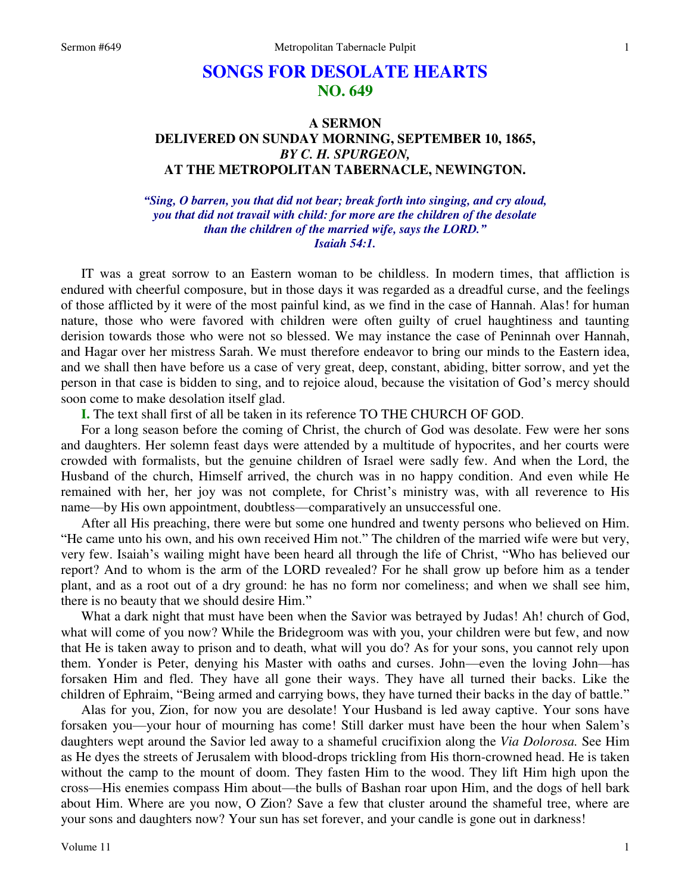## **SONGS FOR DESOLATE HEARTS NO. 649**

## **A SERMON DELIVERED ON SUNDAY MORNING, SEPTEMBER 10, 1865,**  *BY C. H. SPURGEON,*  **AT THE METROPOLITAN TABERNACLE, NEWINGTON.**

*"Sing, O barren, you that did not bear; break forth into singing, and cry aloud, you that did not travail with child: for more are the children of the desolate than the children of the married wife, says the LORD." Isaiah 54:1.* 

IT was a great sorrow to an Eastern woman to be childless. In modern times, that affliction is endured with cheerful composure, but in those days it was regarded as a dreadful curse, and the feelings of those afflicted by it were of the most painful kind, as we find in the case of Hannah. Alas! for human nature, those who were favored with children were often guilty of cruel haughtiness and taunting derision towards those who were not so blessed. We may instance the case of Peninnah over Hannah, and Hagar over her mistress Sarah. We must therefore endeavor to bring our minds to the Eastern idea, and we shall then have before us a case of very great, deep, constant, abiding, bitter sorrow, and yet the person in that case is bidden to sing, and to rejoice aloud, because the visitation of God's mercy should soon come to make desolation itself glad.

**I.** The text shall first of all be taken in its reference TO THE CHURCH OF GOD.

 For a long season before the coming of Christ, the church of God was desolate. Few were her sons and daughters. Her solemn feast days were attended by a multitude of hypocrites, and her courts were crowded with formalists, but the genuine children of Israel were sadly few. And when the Lord, the Husband of the church, Himself arrived, the church was in no happy condition. And even while He remained with her, her joy was not complete, for Christ's ministry was, with all reverence to His name—by His own appointment, doubtless—comparatively an unsuccessful one.

 After all His preaching, there were but some one hundred and twenty persons who believed on Him. "He came unto his own, and his own received Him not." The children of the married wife were but very, very few. Isaiah's wailing might have been heard all through the life of Christ, "Who has believed our report? And to whom is the arm of the LORD revealed? For he shall grow up before him as a tender plant, and as a root out of a dry ground: he has no form nor comeliness; and when we shall see him, there is no beauty that we should desire Him."

 What a dark night that must have been when the Savior was betrayed by Judas! Ah! church of God, what will come of you now? While the Bridegroom was with you, your children were but few, and now that He is taken away to prison and to death, what will you do? As for your sons, you cannot rely upon them. Yonder is Peter, denying his Master with oaths and curses. John—even the loving John—has forsaken Him and fled. They have all gone their ways. They have all turned their backs. Like the children of Ephraim, "Being armed and carrying bows, they have turned their backs in the day of battle."

 Alas for you, Zion, for now you are desolate! Your Husband is led away captive. Your sons have forsaken you—your hour of mourning has come! Still darker must have been the hour when Salem's daughters wept around the Savior led away to a shameful crucifixion along the *Via Dolorosa.* See Him as He dyes the streets of Jerusalem with blood-drops trickling from His thorn-crowned head. He is taken without the camp to the mount of doom. They fasten Him to the wood. They lift Him high upon the cross—His enemies compass Him about—the bulls of Bashan roar upon Him, and the dogs of hell bark about Him. Where are you now, O Zion? Save a few that cluster around the shameful tree, where are your sons and daughters now? Your sun has set forever, and your candle is gone out in darkness!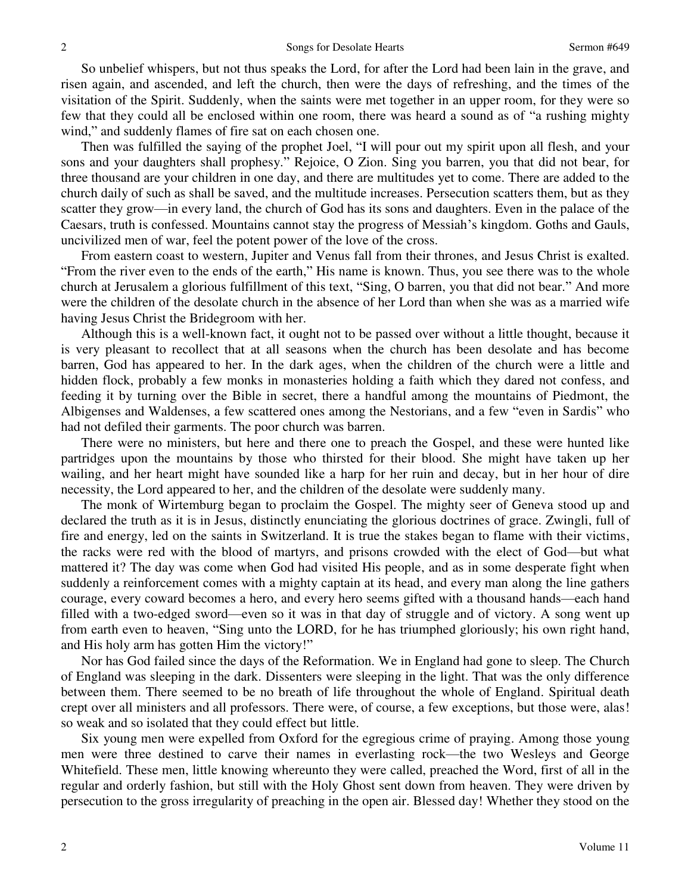So unbelief whispers, but not thus speaks the Lord, for after the Lord had been lain in the grave, and risen again, and ascended, and left the church, then were the days of refreshing, and the times of the visitation of the Spirit. Suddenly, when the saints were met together in an upper room, for they were so few that they could all be enclosed within one room, there was heard a sound as of "a rushing mighty wind," and suddenly flames of fire sat on each chosen one.

 Then was fulfilled the saying of the prophet Joel, "I will pour out my spirit upon all flesh, and your sons and your daughters shall prophesy." Rejoice, O Zion. Sing you barren, you that did not bear, for three thousand are your children in one day, and there are multitudes yet to come. There are added to the church daily of such as shall be saved, and the multitude increases. Persecution scatters them, but as they scatter they grow—in every land, the church of God has its sons and daughters. Even in the palace of the Caesars, truth is confessed. Mountains cannot stay the progress of Messiah's kingdom. Goths and Gauls, uncivilized men of war, feel the potent power of the love of the cross.

 From eastern coast to western, Jupiter and Venus fall from their thrones, and Jesus Christ is exalted. "From the river even to the ends of the earth," His name is known. Thus, you see there was to the whole church at Jerusalem a glorious fulfillment of this text, "Sing, O barren, you that did not bear." And more were the children of the desolate church in the absence of her Lord than when she was as a married wife having Jesus Christ the Bridegroom with her.

 Although this is a well-known fact, it ought not to be passed over without a little thought, because it is very pleasant to recollect that at all seasons when the church has been desolate and has become barren, God has appeared to her. In the dark ages, when the children of the church were a little and hidden flock, probably a few monks in monasteries holding a faith which they dared not confess, and feeding it by turning over the Bible in secret, there a handful among the mountains of Piedmont, the Albigenses and Waldenses, a few scattered ones among the Nestorians, and a few "even in Sardis" who had not defiled their garments. The poor church was barren.

 There were no ministers, but here and there one to preach the Gospel, and these were hunted like partridges upon the mountains by those who thirsted for their blood. She might have taken up her wailing, and her heart might have sounded like a harp for her ruin and decay, but in her hour of dire necessity, the Lord appeared to her, and the children of the desolate were suddenly many.

 The monk of Wirtemburg began to proclaim the Gospel. The mighty seer of Geneva stood up and declared the truth as it is in Jesus, distinctly enunciating the glorious doctrines of grace. Zwingli, full of fire and energy, led on the saints in Switzerland. It is true the stakes began to flame with their victims, the racks were red with the blood of martyrs, and prisons crowded with the elect of God—but what mattered it? The day was come when God had visited His people, and as in some desperate fight when suddenly a reinforcement comes with a mighty captain at its head, and every man along the line gathers courage, every coward becomes a hero, and every hero seems gifted with a thousand hands—each hand filled with a two-edged sword—even so it was in that day of struggle and of victory. A song went up from earth even to heaven, "Sing unto the LORD, for he has triumphed gloriously; his own right hand, and His holy arm has gotten Him the victory!"

 Nor has God failed since the days of the Reformation. We in England had gone to sleep. The Church of England was sleeping in the dark. Dissenters were sleeping in the light. That was the only difference between them. There seemed to be no breath of life throughout the whole of England. Spiritual death crept over all ministers and all professors. There were, of course, a few exceptions, but those were, alas! so weak and so isolated that they could effect but little.

 Six young men were expelled from Oxford for the egregious crime of praying. Among those young men were three destined to carve their names in everlasting rock—the two Wesleys and George Whitefield. These men, little knowing whereunto they were called, preached the Word, first of all in the regular and orderly fashion, but still with the Holy Ghost sent down from heaven. They were driven by persecution to the gross irregularity of preaching in the open air. Blessed day! Whether they stood on the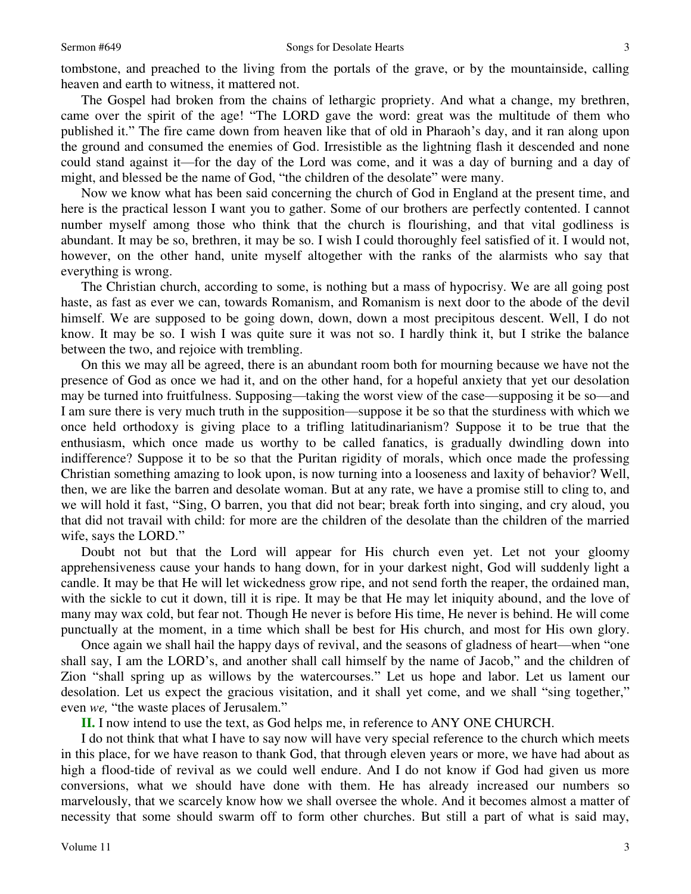tombstone, and preached to the living from the portals of the grave, or by the mountainside, calling heaven and earth to witness, it mattered not.

 The Gospel had broken from the chains of lethargic propriety. And what a change, my brethren, came over the spirit of the age! "The LORD gave the word: great was the multitude of them who published it." The fire came down from heaven like that of old in Pharaoh's day, and it ran along upon the ground and consumed the enemies of God. Irresistible as the lightning flash it descended and none could stand against it—for the day of the Lord was come, and it was a day of burning and a day of might, and blessed be the name of God, "the children of the desolate" were many.

 Now we know what has been said concerning the church of God in England at the present time, and here is the practical lesson I want you to gather. Some of our brothers are perfectly contented. I cannot number myself among those who think that the church is flourishing, and that vital godliness is abundant. It may be so, brethren, it may be so. I wish I could thoroughly feel satisfied of it. I would not, however, on the other hand, unite myself altogether with the ranks of the alarmists who say that everything is wrong.

 The Christian church, according to some, is nothing but a mass of hypocrisy. We are all going post haste, as fast as ever we can, towards Romanism, and Romanism is next door to the abode of the devil himself. We are supposed to be going down, down, down a most precipitous descent. Well, I do not know. It may be so. I wish I was quite sure it was not so. I hardly think it, but I strike the balance between the two, and rejoice with trembling.

 On this we may all be agreed, there is an abundant room both for mourning because we have not the presence of God as once we had it, and on the other hand, for a hopeful anxiety that yet our desolation may be turned into fruitfulness. Supposing—taking the worst view of the case—supposing it be so—and I am sure there is very much truth in the supposition—suppose it be so that the sturdiness with which we once held orthodoxy is giving place to a trifling latitudinarianism? Suppose it to be true that the enthusiasm, which once made us worthy to be called fanatics, is gradually dwindling down into indifference? Suppose it to be so that the Puritan rigidity of morals, which once made the professing Christian something amazing to look upon, is now turning into a looseness and laxity of behavior? Well, then, we are like the barren and desolate woman. But at any rate, we have a promise still to cling to, and we will hold it fast, "Sing, O barren, you that did not bear; break forth into singing, and cry aloud, you that did not travail with child: for more are the children of the desolate than the children of the married wife, says the LORD."

 Doubt not but that the Lord will appear for His church even yet. Let not your gloomy apprehensiveness cause your hands to hang down, for in your darkest night, God will suddenly light a candle. It may be that He will let wickedness grow ripe, and not send forth the reaper, the ordained man, with the sickle to cut it down, till it is ripe. It may be that He may let iniquity abound, and the love of many may wax cold, but fear not. Though He never is before His time, He never is behind. He will come punctually at the moment, in a time which shall be best for His church, and most for His own glory.

 Once again we shall hail the happy days of revival, and the seasons of gladness of heart—when "one shall say, I am the LORD's, and another shall call himself by the name of Jacob," and the children of Zion "shall spring up as willows by the watercourses." Let us hope and labor. Let us lament our desolation. Let us expect the gracious visitation, and it shall yet come, and we shall "sing together," even *we,* "the waste places of Jerusalem."

**II.** I now intend to use the text, as God helps me, in reference to ANY ONE CHURCH.

 I do not think that what I have to say now will have very special reference to the church which meets in this place, for we have reason to thank God, that through eleven years or more, we have had about as high a flood-tide of revival as we could well endure. And I do not know if God had given us more conversions, what we should have done with them. He has already increased our numbers so marvelously, that we scarcely know how we shall oversee the whole. And it becomes almost a matter of necessity that some should swarm off to form other churches. But still a part of what is said may,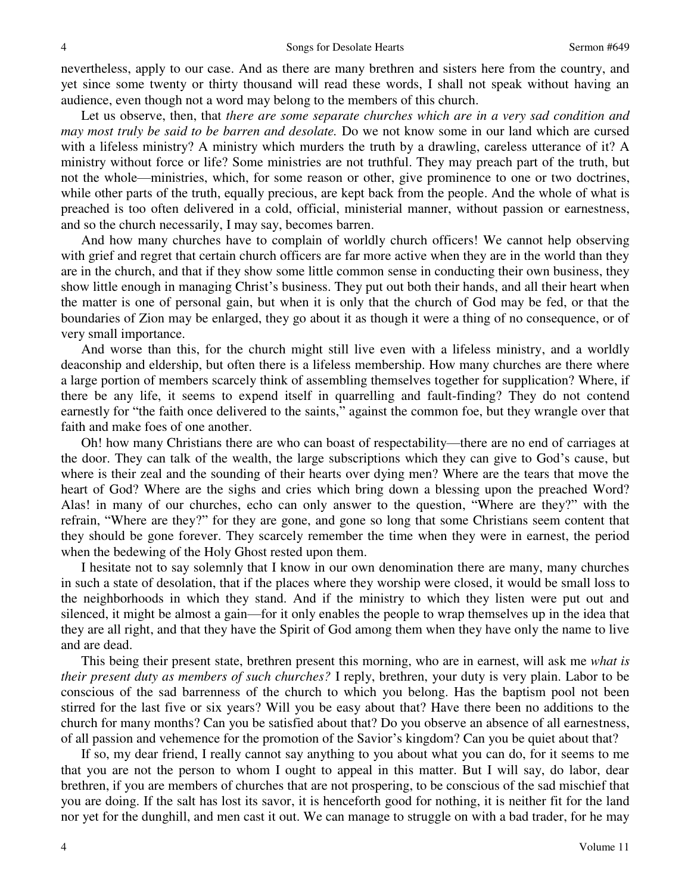nevertheless, apply to our case. And as there are many brethren and sisters here from the country, and yet since some twenty or thirty thousand will read these words, I shall not speak without having an audience, even though not a word may belong to the members of this church.

 Let us observe, then, that *there are some separate churches which are in a very sad condition and may most truly be said to be barren and desolate.* Do we not know some in our land which are cursed with a lifeless ministry? A ministry which murders the truth by a drawling, careless utterance of it? A ministry without force or life? Some ministries are not truthful. They may preach part of the truth, but not the whole—ministries, which, for some reason or other, give prominence to one or two doctrines, while other parts of the truth, equally precious, are kept back from the people. And the whole of what is preached is too often delivered in a cold, official, ministerial manner, without passion or earnestness, and so the church necessarily, I may say, becomes barren.

 And how many churches have to complain of worldly church officers! We cannot help observing with grief and regret that certain church officers are far more active when they are in the world than they are in the church, and that if they show some little common sense in conducting their own business, they show little enough in managing Christ's business. They put out both their hands, and all their heart when the matter is one of personal gain, but when it is only that the church of God may be fed, or that the boundaries of Zion may be enlarged, they go about it as though it were a thing of no consequence, or of very small importance.

 And worse than this, for the church might still live even with a lifeless ministry, and a worldly deaconship and eldership, but often there is a lifeless membership. How many churches are there where a large portion of members scarcely think of assembling themselves together for supplication? Where, if there be any life, it seems to expend itself in quarrelling and fault-finding? They do not contend earnestly for "the faith once delivered to the saints," against the common foe, but they wrangle over that faith and make foes of one another.

 Oh! how many Christians there are who can boast of respectability—there are no end of carriages at the door. They can talk of the wealth, the large subscriptions which they can give to God's cause, but where is their zeal and the sounding of their hearts over dying men? Where are the tears that move the heart of God? Where are the sighs and cries which bring down a blessing upon the preached Word? Alas! in many of our churches, echo can only answer to the question, "Where are they?" with the refrain, "Where are they?" for they are gone, and gone so long that some Christians seem content that they should be gone forever. They scarcely remember the time when they were in earnest, the period when the bedewing of the Holy Ghost rested upon them.

 I hesitate not to say solemnly that I know in our own denomination there are many, many churches in such a state of desolation, that if the places where they worship were closed, it would be small loss to the neighborhoods in which they stand. And if the ministry to which they listen were put out and silenced, it might be almost a gain—for it only enables the people to wrap themselves up in the idea that they are all right, and that they have the Spirit of God among them when they have only the name to live and are dead.

 This being their present state, brethren present this morning, who are in earnest, will ask me *what is their present duty as members of such churches?* I reply, brethren, your duty is very plain. Labor to be conscious of the sad barrenness of the church to which you belong. Has the baptism pool not been stirred for the last five or six years? Will you be easy about that? Have there been no additions to the church for many months? Can you be satisfied about that? Do you observe an absence of all earnestness, of all passion and vehemence for the promotion of the Savior's kingdom? Can you be quiet about that?

 If so, my dear friend, I really cannot say anything to you about what you can do, for it seems to me that you are not the person to whom I ought to appeal in this matter. But I will say, do labor, dear brethren, if you are members of churches that are not prospering, to be conscious of the sad mischief that you are doing. If the salt has lost its savor, it is henceforth good for nothing, it is neither fit for the land nor yet for the dunghill, and men cast it out. We can manage to struggle on with a bad trader, for he may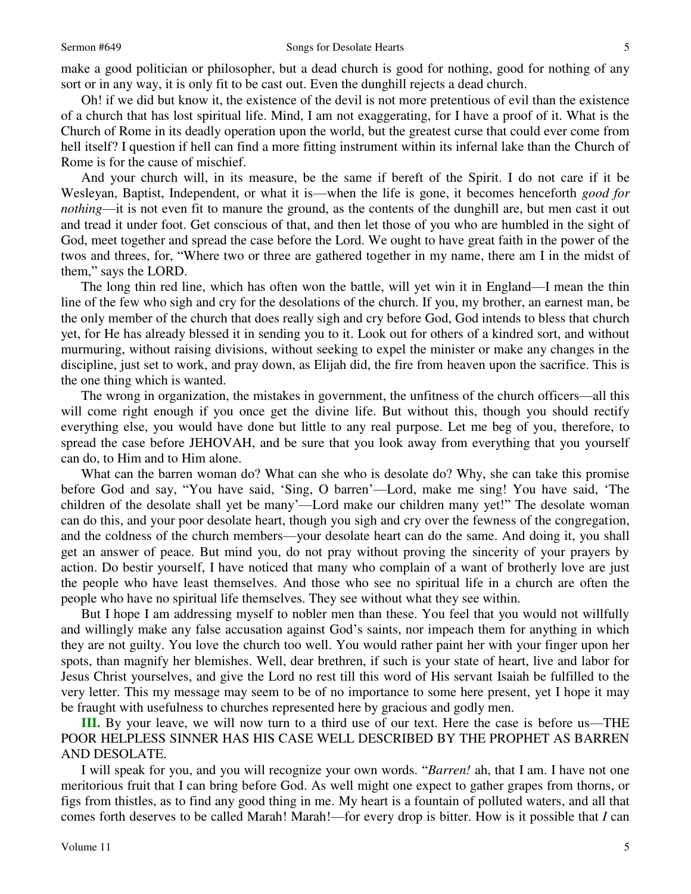make a good politician or philosopher, but a dead church is good for nothing, good for nothing of any sort or in any way, it is only fit to be cast out. Even the dunghill rejects a dead church.

 Oh! if we did but know it, the existence of the devil is not more pretentious of evil than the existence of a church that has lost spiritual life. Mind, I am not exaggerating, for I have a proof of it. What is the Church of Rome in its deadly operation upon the world, but the greatest curse that could ever come from hell itself? I question if hell can find a more fitting instrument within its infernal lake than the Church of Rome is for the cause of mischief.

 And your church will, in its measure, be the same if bereft of the Spirit. I do not care if it be Wesleyan, Baptist, Independent, or what it is—when the life is gone, it becomes henceforth *good for nothing*—it is not even fit to manure the ground, as the contents of the dunghill are, but men cast it out and tread it under foot. Get conscious of that, and then let those of you who are humbled in the sight of God, meet together and spread the case before the Lord. We ought to have great faith in the power of the twos and threes, for, "Where two or three are gathered together in my name, there am I in the midst of them," says the LORD.

 The long thin red line, which has often won the battle, will yet win it in England—I mean the thin line of the few who sigh and cry for the desolations of the church. If you, my brother, an earnest man, be the only member of the church that does really sigh and cry before God, God intends to bless that church yet, for He has already blessed it in sending you to it. Look out for others of a kindred sort, and without murmuring, without raising divisions, without seeking to expel the minister or make any changes in the discipline, just set to work, and pray down, as Elijah did, the fire from heaven upon the sacrifice. This is the one thing which is wanted.

 The wrong in organization, the mistakes in government, the unfitness of the church officers—all this will come right enough if you once get the divine life. But without this, though you should rectify everything else, you would have done but little to any real purpose. Let me beg of you, therefore, to spread the case before JEHOVAH, and be sure that you look away from everything that you yourself can do, to Him and to Him alone.

 What can the barren woman do? What can she who is desolate do? Why, she can take this promise before God and say, "You have said, 'Sing, O barren'—Lord, make me sing! You have said, 'The children of the desolate shall yet be many'—Lord make our children many yet!" The desolate woman can do this, and your poor desolate heart, though you sigh and cry over the fewness of the congregation, and the coldness of the church members—your desolate heart can do the same. And doing it, you shall get an answer of peace. But mind you, do not pray without proving the sincerity of your prayers by action. Do bestir yourself, I have noticed that many who complain of a want of brotherly love are just the people who have least themselves. And those who see no spiritual life in a church are often the people who have no spiritual life themselves. They see without what they see within.

 But I hope I am addressing myself to nobler men than these. You feel that you would not willfully and willingly make any false accusation against God's saints, nor impeach them for anything in which they are not guilty. You love the church too well. You would rather paint her with your finger upon her spots, than magnify her blemishes. Well, dear brethren, if such is your state of heart, live and labor for Jesus Christ yourselves, and give the Lord no rest till this word of His servant Isaiah be fulfilled to the very letter. This my message may seem to be of no importance to some here present, yet I hope it may be fraught with usefulness to churches represented here by gracious and godly men.

**III.** By your leave, we will now turn to a third use of our text. Here the case is before us—THE POOR HELPLESS SINNER HAS HIS CASE WELL DESCRIBED BY THE PROPHET AS BARREN AND DESOLATE.

 I will speak for you, and you will recognize your own words. "*Barren!* ah, that I am. I have not one meritorious fruit that I can bring before God. As well might one expect to gather grapes from thorns, or figs from thistles, as to find any good thing in me. My heart is a fountain of polluted waters, and all that comes forth deserves to be called Marah! Marah!—for every drop is bitter. How is it possible that *I* can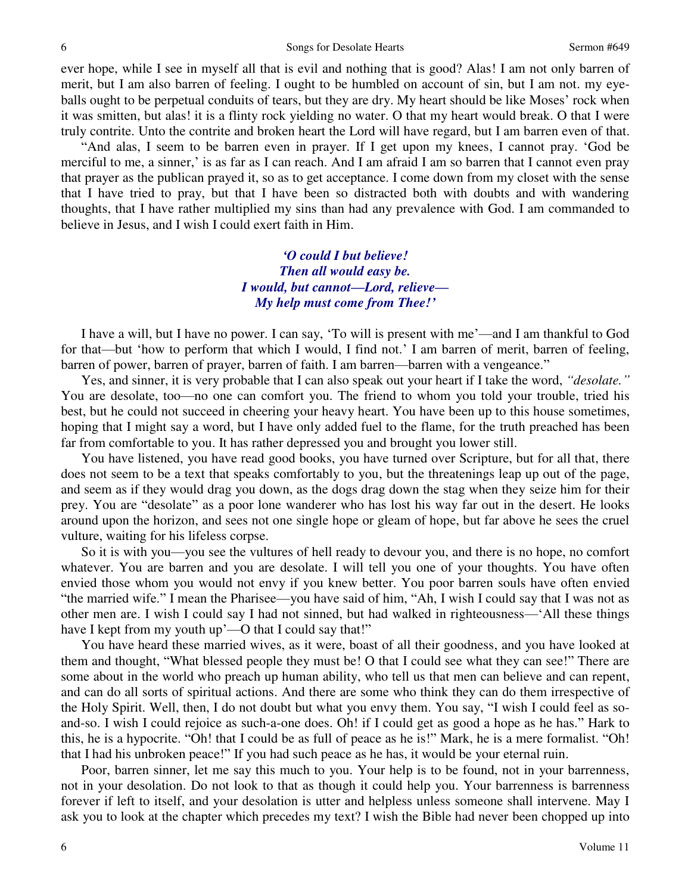ever hope, while I see in myself all that is evil and nothing that is good? Alas! I am not only barren of merit, but I am also barren of feeling. I ought to be humbled on account of sin, but I am not. my eyeballs ought to be perpetual conduits of tears, but they are dry. My heart should be like Moses' rock when it was smitten, but alas! it is a flinty rock yielding no water. O that my heart would break. O that I were truly contrite. Unto the contrite and broken heart the Lord will have regard, but I am barren even of that.

"And alas, I seem to be barren even in prayer. If I get upon my knees, I cannot pray. 'God be merciful to me, a sinner,' is as far as I can reach. And I am afraid I am so barren that I cannot even pray that prayer as the publican prayed it, so as to get acceptance. I come down from my closet with the sense that I have tried to pray, but that I have been so distracted both with doubts and with wandering thoughts, that I have rather multiplied my sins than had any prevalence with God. I am commanded to believe in Jesus, and I wish I could exert faith in Him.

> *'O could I but believe! Then all would easy be. I would, but cannot—Lord, relieve— My help must come from Thee!'*

 I have a will, but I have no power. I can say, 'To will is present with me'—and I am thankful to God for that—but 'how to perform that which I would, I find not.' I am barren of merit, barren of feeling, barren of power, barren of prayer, barren of faith. I am barren—barren with a vengeance."

 Yes, and sinner, it is very probable that I can also speak out your heart if I take the word, *"desolate."* You are desolate, too—no one can comfort you. The friend to whom you told your trouble, tried his best, but he could not succeed in cheering your heavy heart. You have been up to this house sometimes, hoping that I might say a word, but I have only added fuel to the flame, for the truth preached has been far from comfortable to you. It has rather depressed you and brought you lower still.

 You have listened, you have read good books, you have turned over Scripture, but for all that, there does not seem to be a text that speaks comfortably to you, but the threatenings leap up out of the page, and seem as if they would drag you down, as the dogs drag down the stag when they seize him for their prey. You are "desolate" as a poor lone wanderer who has lost his way far out in the desert. He looks around upon the horizon, and sees not one single hope or gleam of hope, but far above he sees the cruel vulture, waiting for his lifeless corpse.

 So it is with you—you see the vultures of hell ready to devour you, and there is no hope, no comfort whatever. You are barren and you are desolate. I will tell you one of your thoughts. You have often envied those whom you would not envy if you knew better. You poor barren souls have often envied "the married wife." I mean the Pharisee—you have said of him, "Ah, I wish I could say that I was not as other men are. I wish I could say I had not sinned, but had walked in righteousness—'All these things have I kept from my youth up'—O that I could say that!"

 You have heard these married wives, as it were, boast of all their goodness, and you have looked at them and thought, "What blessed people they must be! O that I could see what they can see!" There are some about in the world who preach up human ability, who tell us that men can believe and can repent, and can do all sorts of spiritual actions. And there are some who think they can do them irrespective of the Holy Spirit. Well, then, I do not doubt but what you envy them. You say, "I wish I could feel as soand-so. I wish I could rejoice as such-a-one does. Oh! if I could get as good a hope as he has." Hark to this, he is a hypocrite. "Oh! that I could be as full of peace as he is!" Mark, he is a mere formalist. "Oh! that I had his unbroken peace!" If you had such peace as he has, it would be your eternal ruin.

 Poor, barren sinner, let me say this much to you. Your help is to be found, not in your barrenness, not in your desolation. Do not look to that as though it could help you. Your barrenness is barrenness forever if left to itself, and your desolation is utter and helpless unless someone shall intervene. May I ask you to look at the chapter which precedes my text? I wish the Bible had never been chopped up into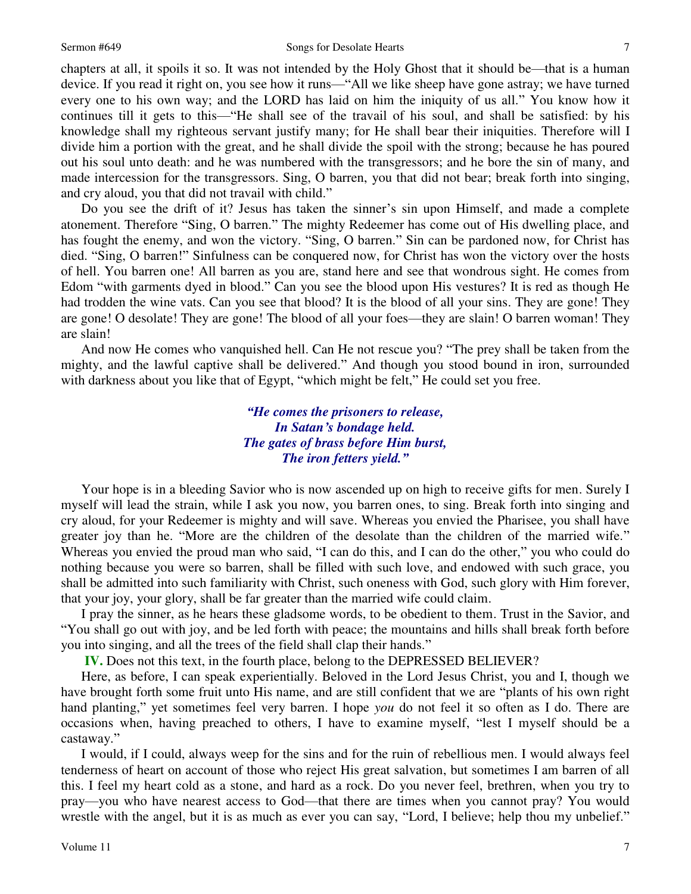chapters at all, it spoils it so. It was not intended by the Holy Ghost that it should be—that is a human device. If you read it right on, you see how it runs—"All we like sheep have gone astray; we have turned every one to his own way; and the LORD has laid on him the iniquity of us all." You know how it continues till it gets to this—"He shall see of the travail of his soul, and shall be satisfied: by his knowledge shall my righteous servant justify many; for He shall bear their iniquities. Therefore will I divide him a portion with the great, and he shall divide the spoil with the strong; because he has poured out his soul unto death: and he was numbered with the transgressors; and he bore the sin of many, and made intercession for the transgressors. Sing, O barren, you that did not bear; break forth into singing, and cry aloud, you that did not travail with child."

 Do you see the drift of it? Jesus has taken the sinner's sin upon Himself, and made a complete atonement. Therefore "Sing, O barren." The mighty Redeemer has come out of His dwelling place, and has fought the enemy, and won the victory. "Sing, O barren." Sin can be pardoned now, for Christ has died. "Sing, O barren!" Sinfulness can be conquered now, for Christ has won the victory over the hosts of hell. You barren one! All barren as you are, stand here and see that wondrous sight. He comes from Edom "with garments dyed in blood." Can you see the blood upon His vestures? It is red as though He had trodden the wine vats. Can you see that blood? It is the blood of all your sins. They are gone! They are gone! O desolate! They are gone! The blood of all your foes—they are slain! O barren woman! They are slain!

 And now He comes who vanquished hell. Can He not rescue you? "The prey shall be taken from the mighty, and the lawful captive shall be delivered." And though you stood bound in iron, surrounded with darkness about you like that of Egypt, "which might be felt," He could set you free.

> *"He comes the prisoners to release, In Satan's bondage held. The gates of brass before Him burst, The iron fetters yield."*

 Your hope is in a bleeding Savior who is now ascended up on high to receive gifts for men. Surely I myself will lead the strain, while I ask you now, you barren ones, to sing. Break forth into singing and cry aloud, for your Redeemer is mighty and will save. Whereas you envied the Pharisee, you shall have greater joy than he. "More are the children of the desolate than the children of the married wife." Whereas you envied the proud man who said, "I can do this, and I can do the other," you who could do nothing because you were so barren, shall be filled with such love, and endowed with such grace, you shall be admitted into such familiarity with Christ, such oneness with God, such glory with Him forever, that your joy, your glory, shall be far greater than the married wife could claim.

 I pray the sinner, as he hears these gladsome words, to be obedient to them. Trust in the Savior, and "You shall go out with joy, and be led forth with peace; the mountains and hills shall break forth before you into singing, and all the trees of the field shall clap their hands."

**IV.** Does not this text, in the fourth place, belong to the DEPRESSED BELIEVER?

 Here, as before, I can speak experientially. Beloved in the Lord Jesus Christ, you and I, though we have brought forth some fruit unto His name, and are still confident that we are "plants of his own right hand planting," yet sometimes feel very barren. I hope *you* do not feel it so often as I do. There are occasions when, having preached to others, I have to examine myself, "lest I myself should be a castaway."

 I would, if I could, always weep for the sins and for the ruin of rebellious men. I would always feel tenderness of heart on account of those who reject His great salvation, but sometimes I am barren of all this. I feel my heart cold as a stone, and hard as a rock. Do you never feel, brethren, when you try to pray—you who have nearest access to God—that there are times when you cannot pray? You would wrestle with the angel, but it is as much as ever you can say, "Lord, I believe; help thou my unbelief."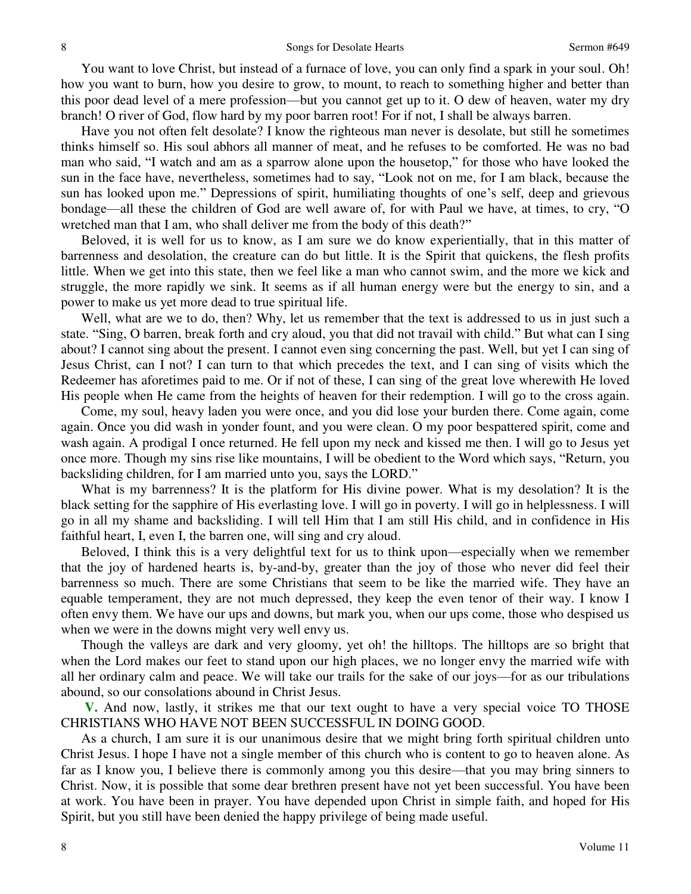You want to love Christ, but instead of a furnace of love, you can only find a spark in your soul. Oh! how you want to burn, how you desire to grow, to mount, to reach to something higher and better than this poor dead level of a mere profession—but you cannot get up to it. O dew of heaven, water my dry branch! O river of God, flow hard by my poor barren root! For if not, I shall be always barren.

 Have you not often felt desolate? I know the righteous man never is desolate, but still he sometimes thinks himself so. His soul abhors all manner of meat, and he refuses to be comforted. He was no bad man who said, "I watch and am as a sparrow alone upon the housetop," for those who have looked the sun in the face have, nevertheless, sometimes had to say, "Look not on me, for I am black, because the sun has looked upon me." Depressions of spirit, humiliating thoughts of one's self, deep and grievous bondage—all these the children of God are well aware of, for with Paul we have, at times, to cry, "O wretched man that I am, who shall deliver me from the body of this death?"

 Beloved, it is well for us to know, as I am sure we do know experientially, that in this matter of barrenness and desolation, the creature can do but little. It is the Spirit that quickens, the flesh profits little. When we get into this state, then we feel like a man who cannot swim, and the more we kick and struggle, the more rapidly we sink. It seems as if all human energy were but the energy to sin, and a power to make us yet more dead to true spiritual life.

 Well, what are we to do, then? Why, let us remember that the text is addressed to us in just such a state. "Sing, O barren, break forth and cry aloud, you that did not travail with child." But what can I sing about? I cannot sing about the present. I cannot even sing concerning the past. Well, but yet I can sing of Jesus Christ, can I not? I can turn to that which precedes the text, and I can sing of visits which the Redeemer has aforetimes paid to me. Or if not of these, I can sing of the great love wherewith He loved His people when He came from the heights of heaven for their redemption. I will go to the cross again.

 Come, my soul, heavy laden you were once, and you did lose your burden there. Come again, come again. Once you did wash in yonder fount, and you were clean. O my poor bespattered spirit, come and wash again. A prodigal I once returned. He fell upon my neck and kissed me then. I will go to Jesus yet once more. Though my sins rise like mountains, I will be obedient to the Word which says, "Return, you backsliding children, for I am married unto you, says the LORD."

 What is my barrenness? It is the platform for His divine power. What is my desolation? It is the black setting for the sapphire of His everlasting love. I will go in poverty. I will go in helplessness. I will go in all my shame and backsliding. I will tell Him that I am still His child, and in confidence in His faithful heart, I, even I, the barren one, will sing and cry aloud.

 Beloved, I think this is a very delightful text for us to think upon—especially when we remember that the joy of hardened hearts is, by-and-by, greater than the joy of those who never did feel their barrenness so much. There are some Christians that seem to be like the married wife. They have an equable temperament, they are not much depressed, they keep the even tenor of their way. I know I often envy them. We have our ups and downs, but mark you, when our ups come, those who despised us when we were in the downs might very well envy us.

 Though the valleys are dark and very gloomy, yet oh! the hilltops. The hilltops are so bright that when the Lord makes our feet to stand upon our high places, we no longer envy the married wife with all her ordinary calm and peace. We will take our trails for the sake of our joys—for as our tribulations abound, so our consolations abound in Christ Jesus.

 **V.** And now, lastly, it strikes me that our text ought to have a very special voice TO THOSE CHRISTIANS WHO HAVE NOT BEEN SUCCESSFUL IN DOING GOOD.

 As a church, I am sure it is our unanimous desire that we might bring forth spiritual children unto Christ Jesus. I hope I have not a single member of this church who is content to go to heaven alone. As far as I know you, I believe there is commonly among you this desire—that you may bring sinners to Christ. Now, it is possible that some dear brethren present have not yet been successful. You have been at work. You have been in prayer. You have depended upon Christ in simple faith, and hoped for His Spirit, but you still have been denied the happy privilege of being made useful.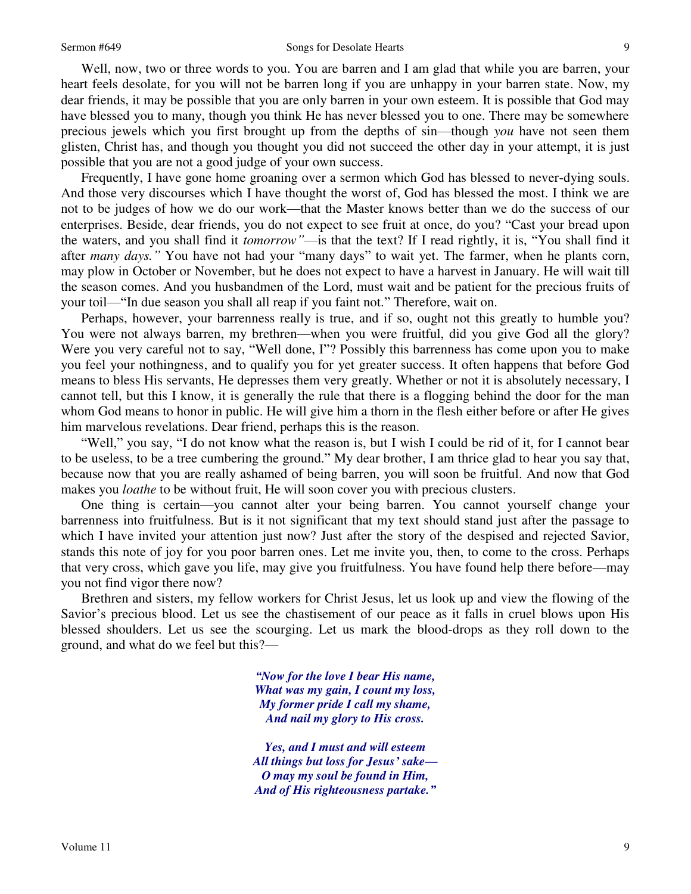## Sermon #649 Songs for Desolate Hearts

 Well, now, two or three words to you. You are barren and I am glad that while you are barren, your heart feels desolate, for you will not be barren long if you are unhappy in your barren state. Now, my dear friends, it may be possible that you are only barren in your own esteem. It is possible that God may have blessed you to many, though you think He has never blessed you to one. There may be somewhere precious jewels which you first brought up from the depths of sin—though *you* have not seen them glisten, Christ has, and though you thought you did not succeed the other day in your attempt, it is just possible that you are not a good judge of your own success.

 Frequently, I have gone home groaning over a sermon which God has blessed to never-dying souls. And those very discourses which I have thought the worst of, God has blessed the most. I think we are not to be judges of how we do our work—that the Master knows better than we do the success of our enterprises. Beside, dear friends, you do not expect to see fruit at once, do you? "Cast your bread upon the waters, and you shall find it *tomorrow"*—is that the text? If I read rightly, it is, "You shall find it after *many days."* You have not had your "many days" to wait yet. The farmer, when he plants corn, may plow in October or November, but he does not expect to have a harvest in January. He will wait till the season comes. And you husbandmen of the Lord, must wait and be patient for the precious fruits of your toil—"In due season you shall all reap if you faint not." Therefore, wait on.

 Perhaps, however, your barrenness really is true, and if so, ought not this greatly to humble you? You were not always barren, my brethren—when you were fruitful, did you give God all the glory? Were you very careful not to say, "Well done, I"? Possibly this barrenness has come upon you to make you feel your nothingness, and to qualify you for yet greater success. It often happens that before God means to bless His servants, He depresses them very greatly. Whether or not it is absolutely necessary, I cannot tell, but this I know, it is generally the rule that there is a flogging behind the door for the man whom God means to honor in public. He will give him a thorn in the flesh either before or after He gives him marvelous revelations. Dear friend, perhaps this is the reason.

"Well," you say, "I do not know what the reason is, but I wish I could be rid of it, for I cannot bear to be useless, to be a tree cumbering the ground." My dear brother, I am thrice glad to hear you say that, because now that you are really ashamed of being barren, you will soon be fruitful. And now that God makes you *loathe* to be without fruit, He will soon cover you with precious clusters.

 One thing is certain—you cannot alter your being barren. You cannot yourself change your barrenness into fruitfulness. But is it not significant that my text should stand just after the passage to which I have invited your attention just now? Just after the story of the despised and rejected Savior, stands this note of joy for you poor barren ones. Let me invite you, then, to come to the cross. Perhaps that very cross, which gave you life, may give you fruitfulness. You have found help there before—may you not find vigor there now?

 Brethren and sisters, my fellow workers for Christ Jesus, let us look up and view the flowing of the Savior's precious blood. Let us see the chastisement of our peace as it falls in cruel blows upon His blessed shoulders. Let us see the scourging. Let us mark the blood-drops as they roll down to the ground, and what do we feel but this?—

> *"Now for the love I bear His name, What was my gain, I count my loss, My former pride I call my shame, And nail my glory to His cross.*

*Yes, and I must and will esteem All things but loss for Jesus' sake— O may my soul be found in Him, And of His righteousness partake."*